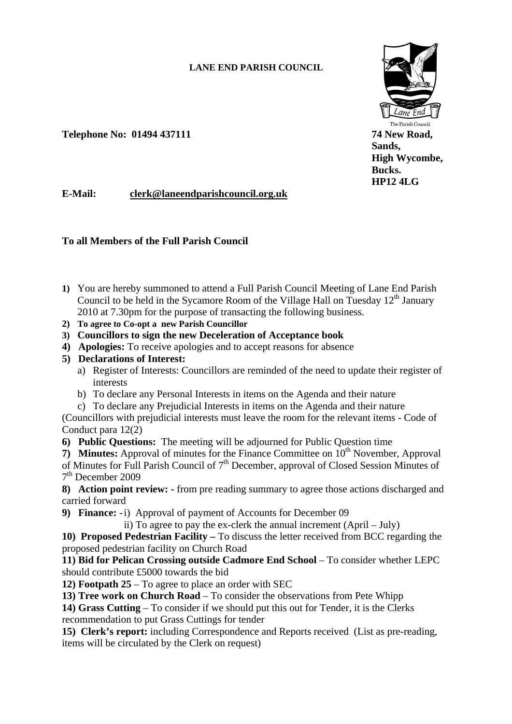## **LANE END PARISH COUNCIL**



 **Sands, High Wycombe, Bucks. Bucks. HP12 4LG** 

**Telephone No: 01494 437111 74 New Road, 74 New Road,** 

**E-Mail: clerk@laneendparishcouncil.org.uk** 

## **To all Members of the Full Parish Council**

- **1)** You are hereby summoned to attend a Full Parish Council Meeting of Lane End Parish Council to be held in the Sycamore Room of the Village Hall on Tuesday  $12<sup>th</sup>$  January 2010 at 7.30pm for the purpose of transacting the following business.
- **2) To agree to Co-opt a new Parish Councillor**
- **3) Councillors to sign the new Deceleration of Acceptance book**
- **4) Apologies:** To receive apologies and to accept reasons for absence
- **5) Declarations of Interest:** 
	- a) Register of Interests: Councillors are reminded of the need to update their register of interests
	- b) To declare any Personal Interests in items on the Agenda and their nature
	- c) To declare any Prejudicial Interests in items on the Agenda and their nature

(Councillors with prejudicial interests must leave the room for the relevant items - Code of Conduct para 12(2)

**6) Public Questions:** The meeting will be adjourned for Public Question time

**7) Minutes:** Approval of minutes for the Finance Committee on  $10^{th}$  November, Approval of Minutes for Full Parish Council of  $7<sup>th</sup>$  December, approval of Closed Session Minutes of 7th December 2009

**8) Action point review: -** from pre reading summary to agree those actions discharged and carried forward

**9) Finance:** -i) Approval of payment of Accounts for December 09

ii) To agree to pay the ex-clerk the annual increment (April – July)

**10) Proposed Pedestrian Facility –** To discuss the letter received from BCC regarding the proposed pedestrian facility on Church Road

**11) Bid for Pelican Crossing outside Cadmore End School** – To consider whether LEPC should contribute £5000 towards the bid

**12) Footpath 25** – To agree to place an order with SEC

**13) Tree work on Church Road** – To consider the observations from Pete Whipp

**14) Grass Cutting** – To consider if we should put this out for Tender, it is the Clerks recommendation to put Grass Cuttings for tender

**15) Clerk's report:** including Correspondence and Reports received (List as pre-reading, items will be circulated by the Clerk on request)